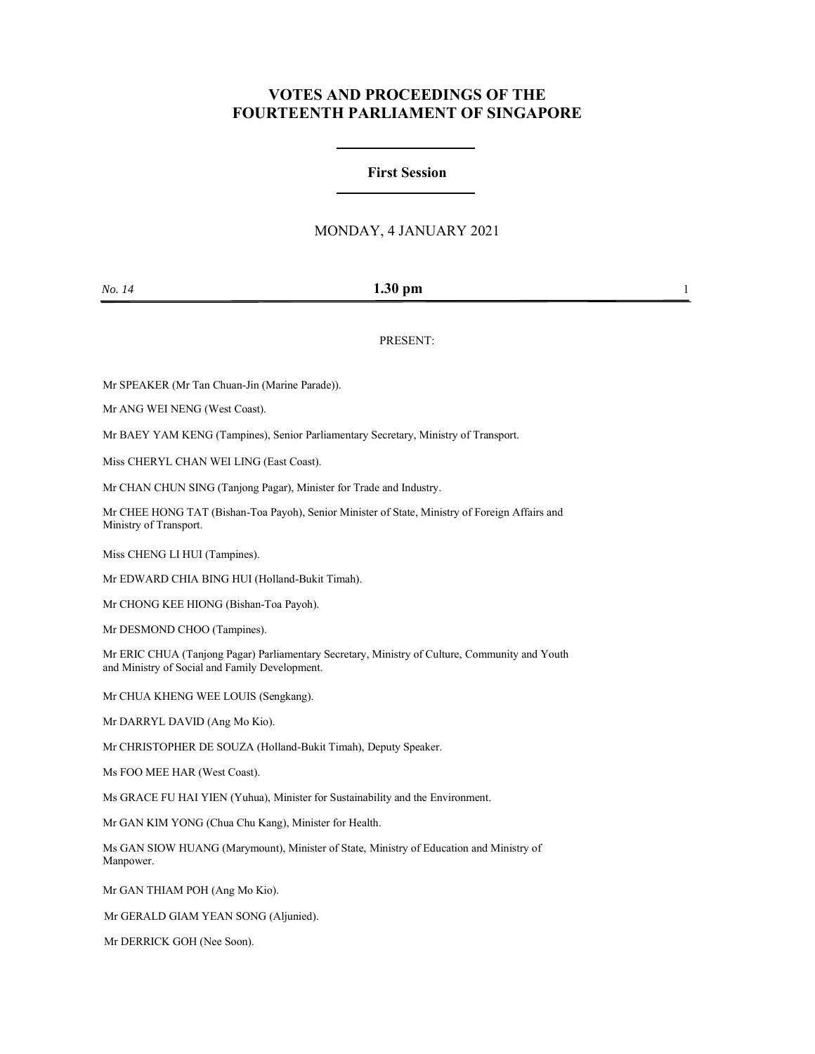# **VOTES AND PROCEEDINGS OF THE FOURTEENTH PARLIAMENT OF SINGAPORE**

## **First Session**

#### MONDAY, 4 JANUARY 2021

#### *No. 14* **1.30 pm** 1

### PRESENT:

Mr SPEAKER (Mr Tan Chuan-Jin (Marine Parade)).

Mr ANG WEI NENG (West Coast).

Mr BAEY YAM KENG (Tampines), Senior Parliamentary Secretary, Ministry of Transport.

Miss CHERYL CHAN WEI LING (East Coast).

Mr CHAN CHUN SING (Tanjong Pagar), Minister for Trade and Industry.

Mr CHEE HONG TAT (Bishan-Toa Payoh), Senior Minister of State, Ministry of Foreign Affairs and Ministry of Transport.

Miss CHENG LI HUI (Tampines).

Mr EDWARD CHIA BING HUI (Holland-Bukit Timah).

Mr CHONG KEE HIONG (Bishan-Toa Payoh).

Mr DESMOND CHOO (Tampines).

Mr ERIC CHUA (Tanjong Pagar) Parliamentary Secretary, Ministry of Culture, Community and Youth and Ministry of Social and Family Development.

Mr CHUA KHENG WEE LOUIS (Sengkang).

Mr DARRYL DAVID (Ang Mo Kio).

Mr CHRISTOPHER DE SOUZA (Holland-Bukit Timah), Deputy Speaker.

Ms FOO MEE HAR (West Coast).

Ms GRACE FU HAI YIEN (Yuhua), Minister for Sustainability and the Environment.

Mr GAN KIM YONG (Chua Chu Kang), Minister for Health.

Ms GAN SIOW HUANG (Marymount), Minister of State, Ministry of Education and Ministry of Manpower.

Mr GAN THIAM POH (Ang Mo Kio).

Mr GERALD GIAM YEAN SONG (Aljunied).

Mr DERRICK GOH (Nee Soon).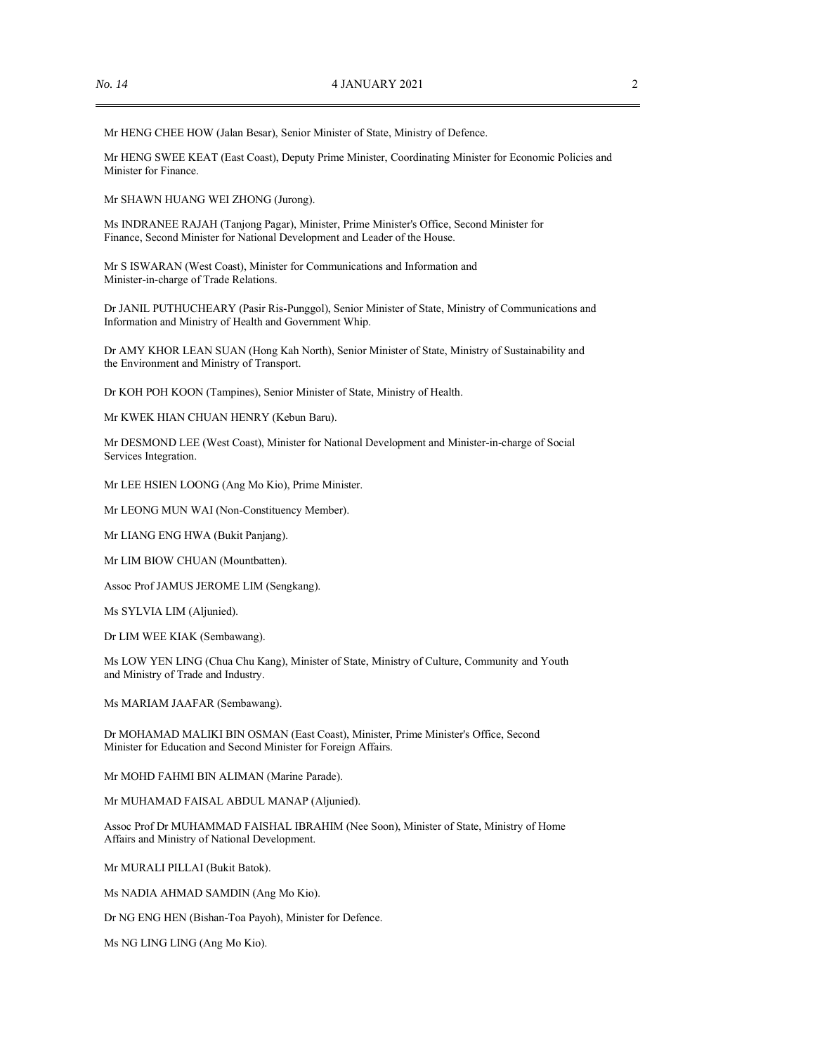Mr HENG CHEE HOW (Jalan Besar), Senior Minister of State, Ministry of Defence.

Mr HENG SWEE KEAT (East Coast), Deputy Prime Minister, Coordinating Minister for Economic Policies and Minister for Finance.

Mr SHAWN HUANG WEI ZHONG (Jurong).

Ms INDRANEE RAJAH (Tanjong Pagar), Minister, Prime Minister's Office, Second Minister for Finance, Second Minister for National Development and Leader of the House.

Mr S ISWARAN (West Coast), Minister for Communications and Information and Minister-in-charge of Trade Relations.

Dr JANIL PUTHUCHEARY (Pasir Ris-Punggol), Senior Minister of State, Ministry of Communications and Information and Ministry of Health and Government Whip.

Dr AMY KHOR LEAN SUAN (Hong Kah North), Senior Minister of State, Ministry of Sustainability and the Environment and Ministry of Transport.

Dr KOH POH KOON (Tampines), Senior Minister of State, Ministry of Health.

Mr KWEK HIAN CHUAN HENRY (Kebun Baru).

Mr DESMOND LEE (West Coast), Minister for National Development and Minister-in-charge of Social Services Integration.

Mr LEE HSIEN LOONG (Ang Mo Kio), Prime Minister.

Mr LEONG MUN WAI (Non-Constituency Member).

Mr LIANG ENG HWA (Bukit Panjang).

Mr LIM BIOW CHUAN (Mountbatten).

Assoc Prof JAMUS JEROME LIM (Sengkang).

Ms SYLVIA LIM (Aljunied).

Dr LIM WEE KIAK (Sembawang).

Ms LOW YEN LING (Chua Chu Kang), Minister of State, Ministry of Culture, Community and Youth and Ministry of Trade and Industry.

Ms MARIAM JAAFAR (Sembawang).

Dr MOHAMAD MALIKI BIN OSMAN (East Coast), Minister, Prime Minister's Office, Second Minister for Education and Second Minister for Foreign Affairs.

Mr MOHD FAHMI BIN ALIMAN (Marine Parade).

Mr MUHAMAD FAISAL ABDUL MANAP (Aljunied).

Assoc Prof Dr MUHAMMAD FAISHAL IBRAHIM (Nee Soon), Minister of State, Ministry of Home Affairs and Ministry of National Development.

Mr MURALI PILLAI (Bukit Batok).

Ms NADIA AHMAD SAMDIN (Ang Mo Kio).

Dr NG ENG HEN (Bishan-Toa Payoh), Minister for Defence.

Ms NG LING LING (Ang Mo Kio).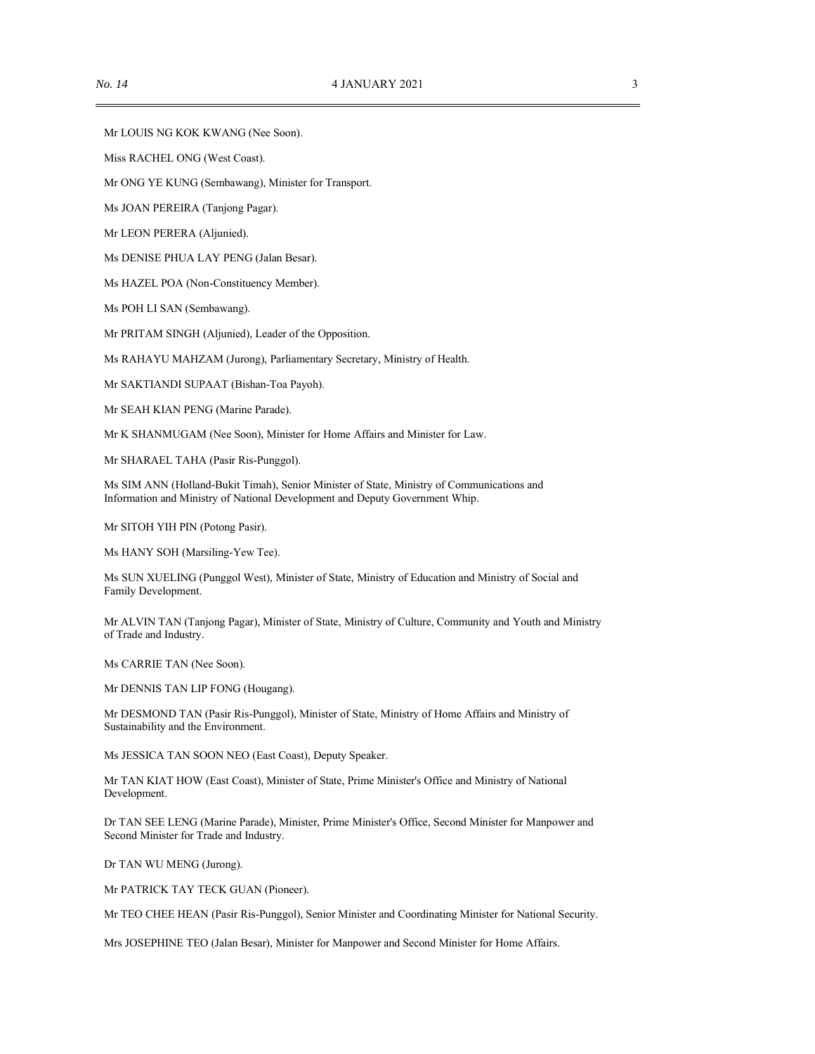Mr LOUIS NG KOK KWANG (Nee Soon).

Miss RACHEL ONG (West Coast).

Mr ONG YE KUNG (Sembawang), Minister for Transport.

Ms JOAN PEREIRA (Tanjong Pagar).

Mr LEON PERERA (Aljunied).

Ms DENISE PHUA LAY PENG (Jalan Besar).

Ms HAZEL POA (Non-Constituency Member).

Ms POH LI SAN (Sembawang).

Mr PRITAM SINGH (Aljunied), Leader of the Opposition.

Ms RAHAYU MAHZAM (Jurong), Parliamentary Secretary, Ministry of Health.

Mr SAKTIANDI SUPAAT (Bishan-Toa Payoh).

Mr SEAH KIAN PENG (Marine Parade).

Mr K SHANMUGAM (Nee Soon), Minister for Home Affairs and Minister for Law.

Mr SHARAEL TAHA (Pasir Ris-Punggol).

Ms SIM ANN (Holland-Bukit Timah), Senior Minister of State, Ministry of Communications and Information and Ministry of National Development and Deputy Government Whip.

Mr SITOH YIH PIN (Potong Pasir).

Ms HANY SOH (Marsiling-Yew Tee).

Ms SUN XUELING (Punggol West), Minister of State, Ministry of Education and Ministry of Social and Family Development.

Mr ALVIN TAN (Tanjong Pagar), Minister of State, Ministry of Culture, Community and Youth and Ministry of Trade and Industry.

Ms CARRIE TAN (Nee Soon).

Mr DENNIS TAN LIP FONG (Hougang).

Mr DESMOND TAN (Pasir Ris-Punggol), Minister of State, Ministry of Home Affairs and Ministry of Sustainability and the Environment.

Ms JESSICA TAN SOON NEO (East Coast), Deputy Speaker.

Mr TAN KIAT HOW (East Coast), Minister of State, Prime Minister's Office and Ministry of National Development.

Dr TAN SEE LENG (Marine Parade), Minister, Prime Minister's Office, Second Minister for Manpower and Second Minister for Trade and Industry.

Dr TAN WU MENG (Jurong).

Mr PATRICK TAY TECK GUAN (Pioneer).

Mr TEO CHEE HEAN (Pasir Ris-Punggol), Senior Minister and Coordinating Minister for National Security.

Mrs JOSEPHINE TEO (Jalan Besar), Minister for Manpower and Second Minister for Home Affairs.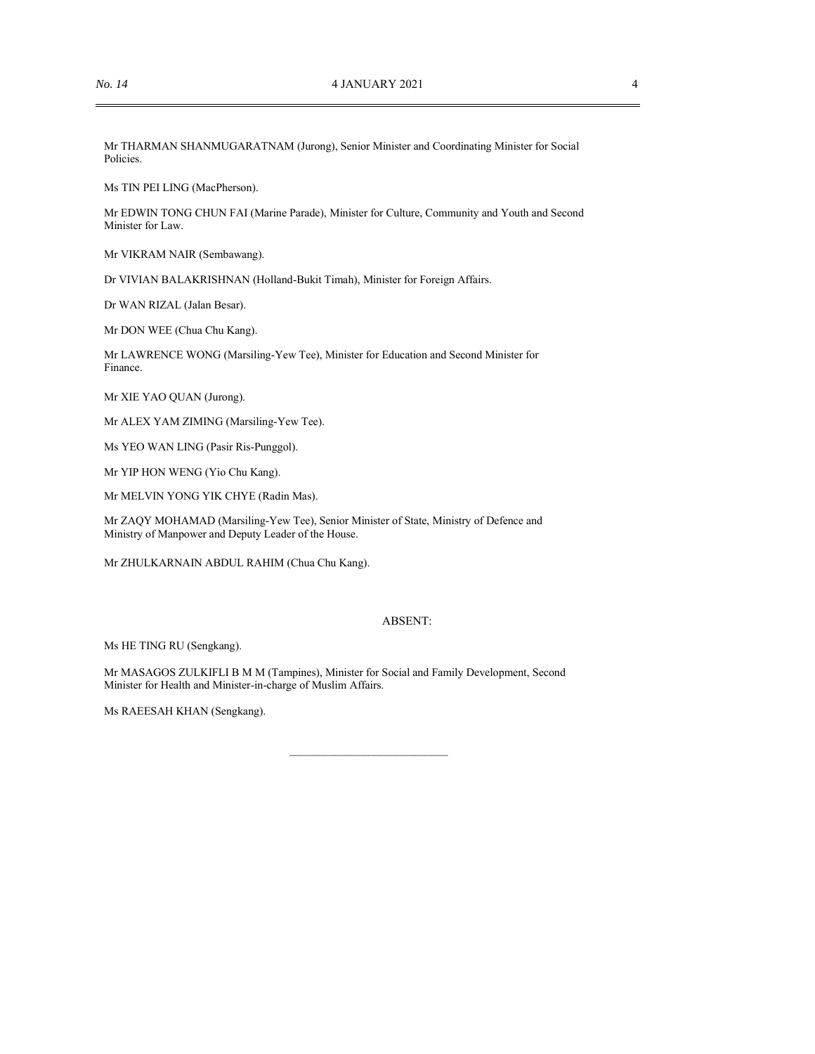Mr THARMAN SHANMUGARATNAM (Jurong), Senior Minister and Coordinating Minister for Social Policies.

Ms TIN PEI LING (MacPherson).

Mr EDWIN TONG CHUN FAI (Marine Parade), Minister for Culture, Community and Youth and Second Minister for Law.

Mr VIKRAM NAIR (Sembawang).

Dr VIVIAN BALAKRISHNAN (Holland-Bukit Timah), Minister for Foreign Affairs.

Dr WAN RIZAL (Jalan Besar).

Mr DON WEE (Chua Chu Kang).

Mr LAWRENCE WONG (Marsiling-Yew Tee), Minister for Education and Second Minister for Finance.

Mr XIE YAO QUAN (Jurong).

Mr ALEX YAM ZIMING (Marsiling-Yew Tee).

Ms YEO WAN LING (Pasir Ris-Punggol).

Mr YIP HON WENG (Yio Chu Kang).

Mr MELVIN YONG YIK CHYE (Radin Mas).

Mr ZAQY MOHAMAD (Marsiling-Yew Tee), Senior Minister of State, Ministry of Defence and Ministry of Manpower and Deputy Leader of the House.

Mr ZHULKARNAIN ABDUL RAHIM (Chua Chu Kang).

#### ABSENT:

Ms HE TING RU (Sengkang).

Mr MASAGOS ZULKIFLI B M M (Tampines), Minister for Social and Family Development, Second Minister for Health and Minister-in-charge of Muslim Affairs.

Ms RAEESAH KHAN (Sengkang).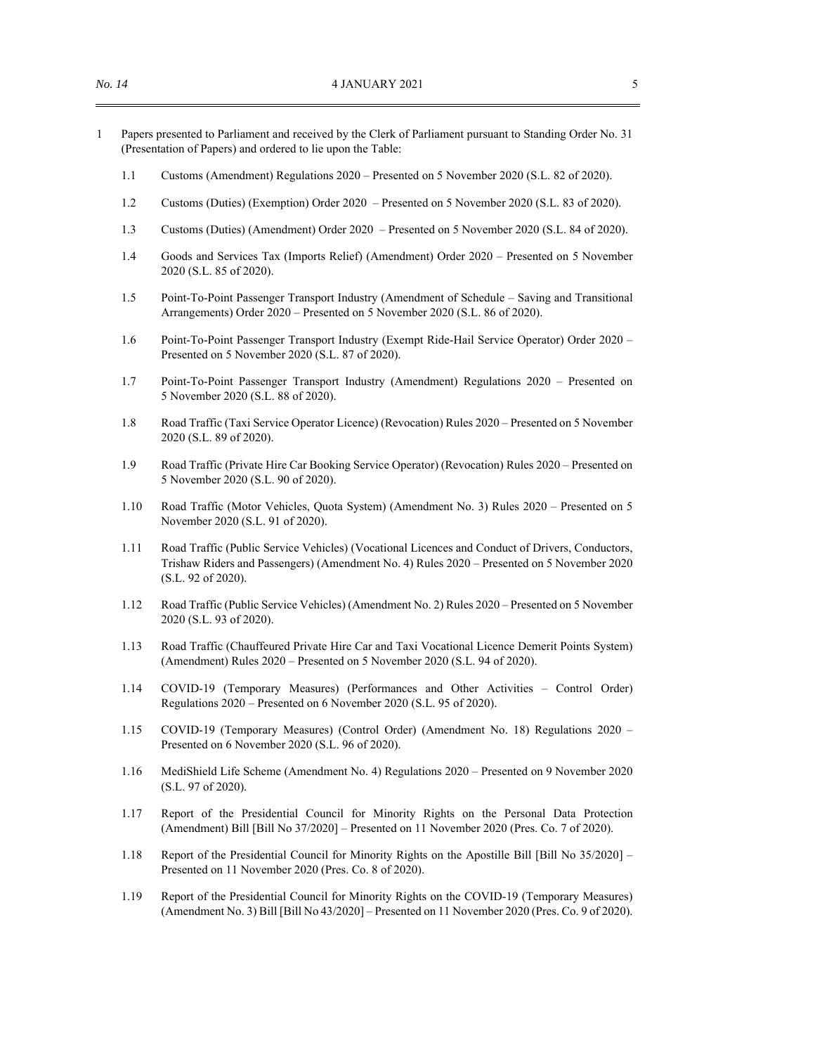- 1 Papers presented to Parliament and received by the Clerk of Parliament pursuant to Standing Order No. 31 (Presentation of Papers) and ordered to lie upon the Table:
	- 1.1 Customs (Amendment) Regulations 2020 Presented on 5 November 2020 (S.L. 82 of 2020).
	- 1.2 Customs (Duties) (Exemption) Order 2020 Presented on 5 November 2020 (S.L. 83 of 2020).
	- 1.3 Customs (Duties) (Amendment) Order 2020 Presented on 5 November 2020 (S.L. 84 of 2020).
	- 1.4 Goods and Services Tax (Imports Relief) (Amendment) Order 2020 Presented on 5 November 2020 (S.L. 85 of 2020).
	- 1.5 Point-To-Point Passenger Transport Industry (Amendment of Schedule Saving and Transitional Arrangements) Order 2020 – Presented on 5 November 2020 (S.L. 86 of 2020).
	- 1.6 Point-To-Point Passenger Transport Industry (Exempt Ride-Hail Service Operator) Order 2020 Presented on 5 November 2020 (S.L. 87 of 2020).
	- 1.7 Point-To-Point Passenger Transport Industry (Amendment) Regulations 2020 Presented on 5 November 2020 (S.L. 88 of 2020).
	- 1.8 Road Traffic (Taxi Service Operator Licence) (Revocation) Rules 2020 Presented on 5 November 2020 (S.L. 89 of 2020).
	- 1.9 Road Traffic (Private Hire Car Booking Service Operator) (Revocation) Rules 2020 Presented on 5 November 2020 (S.L. 90 of 2020).
	- 1.10 Road Traffic (Motor Vehicles, Quota System) (Amendment No. 3) Rules 2020 Presented on 5 November 2020 (S.L. 91 of 2020).
	- 1.11 Road Traffic (Public Service Vehicles) (Vocational Licences and Conduct of Drivers, Conductors, Trishaw Riders and Passengers) (Amendment No. 4) Rules 2020 – Presented on 5 November 2020 (S.L. 92 of 2020).
	- 1.12 Road Traffic (Public Service Vehicles) (Amendment No. 2) Rules 2020 Presented on 5 November 2020 (S.L. 93 of 2020).
	- 1.13 Road Traffic (Chauffeured Private Hire Car and Taxi Vocational Licence Demerit Points System) (Amendment) Rules 2020 – Presented on 5 November 2020 (S.L. 94 of 2020).
	- 1.14 COVID-19 (Temporary Measures) (Performances and Other Activities Control Order) Regulations 2020 – Presented on 6 November 2020 (S.L. 95 of 2020).
	- 1.15 COVID-19 (Temporary Measures) (Control Order) (Amendment No. 18) Regulations 2020 Presented on 6 November 2020 (S.L. 96 of 2020).
	- 1.16 MediShield Life Scheme (Amendment No. 4) Regulations 2020 Presented on 9 November 2020 (S.L. 97 of 2020).
	- 1.17 Report of the Presidential Council for Minority Rights on the Personal Data Protection (Amendment) Bill [Bill No 37/2020] – Presented on 11 November 2020 (Pres. Co. 7 of 2020).
	- 1.18 Report of the Presidential Council for Minority Rights on the Apostille Bill [Bill No 35/2020] Presented on 11 November 2020 (Pres. Co. 8 of 2020).
	- 1.19 Report of the Presidential Council for Minority Rights on the COVID-19 (Temporary Measures) (Amendment No. 3) Bill [Bill No 43/2020] – Presented on 11 November 2020 (Pres. Co. 9 of 2020).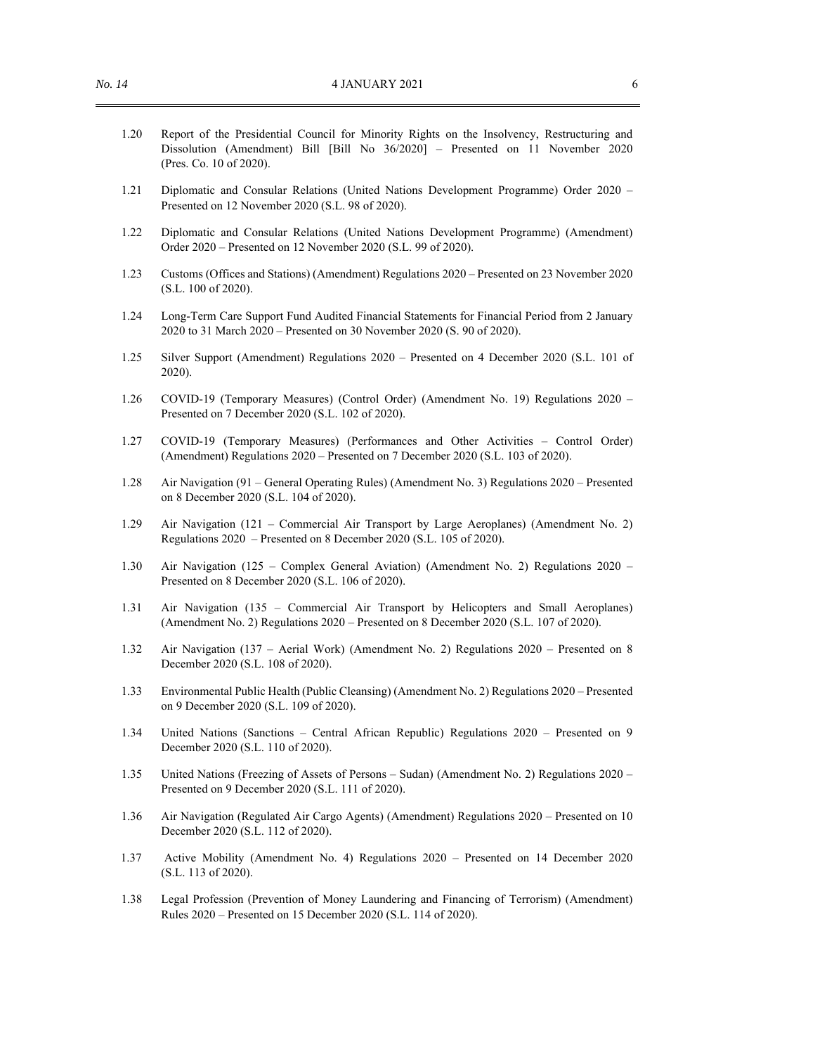- 1.20 Report of the Presidential Council for Minority Rights on the Insolvency, Restructuring and Dissolution (Amendment) Bill [Bill No 36/2020] – Presented on 11 November 2020 (Pres. Co. 10 of 2020).
- 1.21 Diplomatic and Consular Relations (United Nations Development Programme) Order 2020 Presented on 12 November 2020 (S.L. 98 of 2020).
- 1.22 Diplomatic and Consular Relations (United Nations Development Programme) (Amendment) Order 2020 – Presented on 12 November 2020 (S.L. 99 of 2020).
- 1.23 Customs (Offices and Stations) (Amendment) Regulations 2020 Presented on 23 November 2020 (S.L. 100 of 2020).
- 1.24 Long-Term Care Support Fund Audited Financial Statements for Financial Period from 2 January 2020 to 31 March 2020 – Presented on 30 November 2020 (S. 90 of 2020).
- 1.25 Silver Support (Amendment) Regulations 2020 Presented on 4 December 2020 (S.L. 101 of 2020).
- 1.26 COVID-19 (Temporary Measures) (Control Order) (Amendment No. 19) Regulations 2020 Presented on 7 December 2020 (S.L. 102 of 2020).
- 1.27 COVID-19 (Temporary Measures) (Performances and Other Activities Control Order) (Amendment) Regulations 2020 – Presented on 7 December 2020 (S.L. 103 of 2020).
- 1.28 Air Navigation (91 General Operating Rules) (Amendment No. 3) Regulations 2020 Presented on 8 December 2020 (S.L. 104 of 2020).
- 1.29 Air Navigation (121 Commercial Air Transport by Large Aeroplanes) (Amendment No. 2) Regulations 2020 – Presented on 8 December 2020 (S.L. 105 of 2020).
- 1.30 Air Navigation (125 Complex General Aviation) (Amendment No. 2) Regulations 2020 Presented on 8 December 2020 (S.L. 106 of 2020).
- 1.31 Air Navigation (135 Commercial Air Transport by Helicopters and Small Aeroplanes) (Amendment No. 2) Regulations 2020 – Presented on 8 December 2020 (S.L. 107 of 2020).
- 1.32 Air Navigation (137 Aerial Work) (Amendment No. 2) Regulations 2020 Presented on 8 December 2020 (S.L. 108 of 2020).
- 1.33 Environmental Public Health (Public Cleansing) (Amendment No. 2) Regulations 2020 Presented on 9 December 2020 (S.L. 109 of 2020).
- 1.34 United Nations (Sanctions Central African Republic) Regulations 2020 Presented on 9 December 2020 (S.L. 110 of 2020).
- 1.35 United Nations (Freezing of Assets of Persons Sudan) (Amendment No. 2) Regulations 2020 Presented on 9 December 2020 (S.L. 111 of 2020).
- 1.36 Air Navigation (Regulated Air Cargo Agents) (Amendment) Regulations 2020 Presented on 10 December 2020 (S.L. 112 of 2020).
- 1.37 Active Mobility (Amendment No. 4) Regulations 2020 Presented on 14 December 2020 (S.L. 113 of 2020).
- 1.38 Legal Profession (Prevention of Money Laundering and Financing of Terrorism) (Amendment) Rules 2020 – Presented on 15 December 2020 (S.L. 114 of 2020).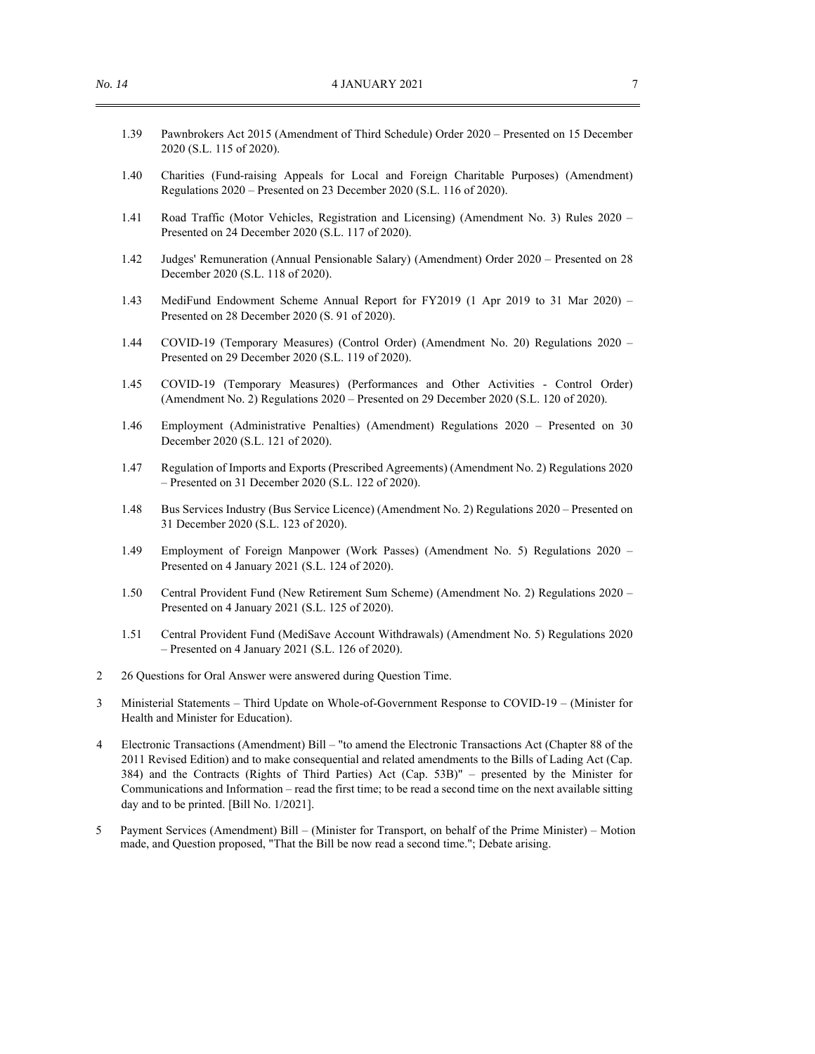- 1.39 Pawnbrokers Act 2015 (Amendment of Third Schedule) Order 2020 Presented on 15 December 2020 (S.L. 115 of 2020).
- 1.40 Charities (Fund-raising Appeals for Local and Foreign Charitable Purposes) (Amendment) Regulations 2020 – Presented on 23 December 2020 (S.L. 116 of 2020).
- 1.41 Road Traffic (Motor Vehicles, Registration and Licensing) (Amendment No. 3) Rules 2020 Presented on 24 December 2020 (S.L. 117 of 2020).
- 1.42 Judges' Remuneration (Annual Pensionable Salary) (Amendment) Order 2020 Presented on 28 December 2020 (S.L. 118 of 2020).
- 1.43 MediFund Endowment Scheme Annual Report for FY2019 (1 Apr 2019 to 31 Mar 2020) Presented on 28 December 2020 (S. 91 of 2020).
- 1.44 COVID-19 (Temporary Measures) (Control Order) (Amendment No. 20) Regulations 2020 Presented on 29 December 2020 (S.L. 119 of 2020).
- 1.45 COVID-19 (Temporary Measures) (Performances and Other Activities Control Order) (Amendment No. 2) Regulations 2020 – Presented on 29 December 2020 (S.L. 120 of 2020).
- 1.46 Employment (Administrative Penalties) (Amendment) Regulations 2020 Presented on 30 December 2020 (S.L. 121 of 2020).
- 1.47 Regulation of Imports and Exports (Prescribed Agreements) (Amendment No. 2) Regulations 2020 – Presented on 31 December 2020 (S.L. 122 of 2020).
- 1.48 Bus Services Industry (Bus Service Licence) (Amendment No. 2) Regulations 2020 Presented on 31 December 2020 (S.L. 123 of 2020).
- 1.49 Employment of Foreign Manpower (Work Passes) (Amendment No. 5) Regulations 2020 Presented on 4 January 2021 (S.L. 124 of 2020).
- 1.50 Central Provident Fund (New Retirement Sum Scheme) (Amendment No. 2) Regulations 2020 Presented on 4 January 2021 (S.L. 125 of 2020).
- 1.51 Central Provident Fund (MediSave Account Withdrawals) (Amendment No. 5) Regulations 2020 – Presented on 4 January 2021 (S.L. 126 of 2020).
- 2 26 Questions for Oral Answer were answered during Question Time.
- 3 Ministerial Statements Third Update on Whole-of-Government Response to COVID-19 (Minister for Health and Minister for Education).
- 4 Electronic Transactions (Amendment) Bill "to amend the Electronic Transactions Act (Chapter 88 of the 2011 Revised Edition) and to make consequential and related amendments to the Bills of Lading Act (Cap. 384) and the Contracts (Rights of Third Parties) Act (Cap. 53B)" – presented by the Minister for Communications and Information – read the first time; to be read a second time on the next available sitting day and to be printed. [Bill No. 1/2021].
- 5 Payment Services (Amendment) Bill (Minister for Transport, on behalf of the Prime Minister) Motion made, and Question proposed, "That the Bill be now read a second time."; Debate arising.